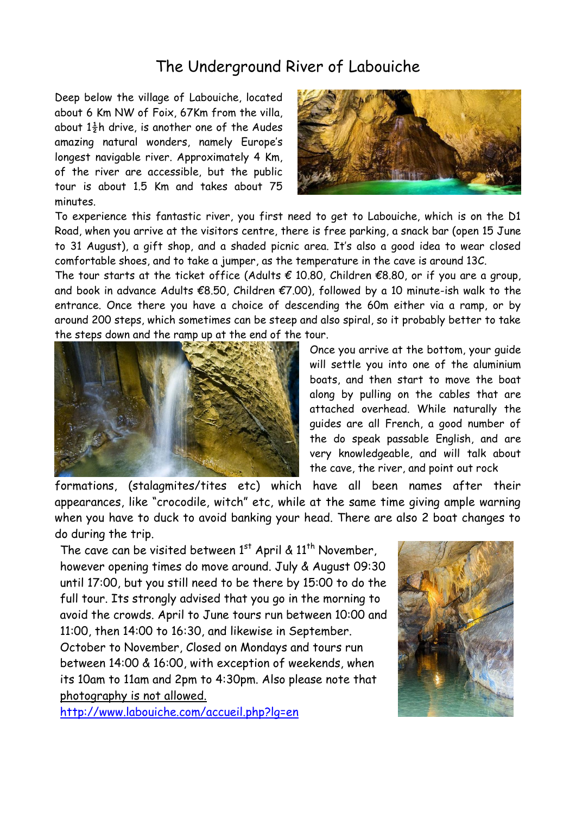## The Underground River of Labouiche

Deep below the village of Labouiche, located about 6 Km NW of Foix, 67Km from the villa, about  $1\frac{1}{2}$ h drive, is another one of the Audes amazing natural wonders, namely Europe's longest navigable river. Approximately 4 Km, of the river are accessible, but the public tour is about 1.5 Km and takes about 75 minutes.



To experience this fantastic river, you first need to get to Labouiche, which is on the D1 Road, when you arrive at the visitors centre, there is free parking, a snack bar (open 15 June to 31 August), a gift shop, and a shaded picnic area. It's also a good idea to wear closed comfortable shoes, and to take a jumper, as the temperature in the cave is around 13C.

The tour starts at the ticket office (Adults  $\epsilon$  10.80, Children  $\epsilon$ 8.80, or if you are a group, and book in advance Adults  $\epsilon$ 8.50, Children  $\epsilon$ 7.00), followed by a 10 minute-ish walk to the entrance. Once there you have a choice of descending the 60m either via a ramp, or by around 200 steps, which sometimes can be steep and also spiral, so it probably better to take the steps down and the ramp up at the end of the tour.



Once you arrive at the bottom, your guide will settle you into one of the aluminium boats, and then start to move the boat along by pulling on the cables that are attached overhead. While naturally the guides are all French, a good number of the do speak passable English, and are very knowledgeable, and will talk about the cave, the river, and point out rock

formations, (stalagmites/tites etc) which have all been names after their appearances, like "crocodile, witch" etc, while at the same time giving ample warning when you have to duck to avoid banking your head. There are also 2 boat changes to do during the trip.

The cave can be visited between  $1^{st}$  April &  $11^{th}$  November, however opening times do move around. July & August 09:30 until 17:00, but you still need to be there by 15:00 to do the full tour. Its strongly advised that you go in the morning to avoid the crowds. April to June tours run between 10:00 and 11:00, then 14:00 to 16:30, and likewise in September. October to November, Closed on Mondays and tours run

between 14:00 & 16:00, with exception of weekends, when its 10am to 11am and 2pm to 4:30pm. Also please note that photography is not allowed.

<http://www.labouiche.com/accueil.php?lg=en>